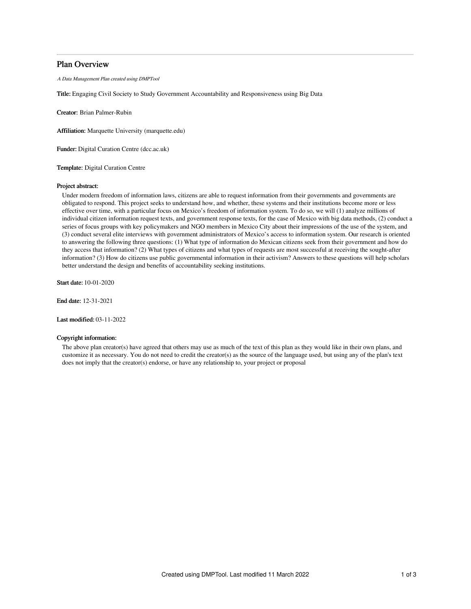# Plan Overview

A Data Management Plan created using DMPTool

Title: Engaging Civil Society to Study Government Accountability and Responsiveness using Big Data

Creator: Brian Palmer-Rubin

Affiliation: Marquette University (marquette.edu)

Funder: Digital Curation Centre (dcc.ac.uk)

Template: Digital Curation Centre

### Project abstract:

Under modern freedom of information laws, citizens are able to request information from their governments and governments are obligated to respond. This project seeks to understand how, and whether, these systems and their institutions become more or less effective over time, with a particular focus on Mexico's freedom of information system. To do so, we will (1) analyze millions of individual citizen information request texts, and government response texts, for the case of Mexico with big data methods, (2) conduct a series of focus groups with key policymakers and NGO members in Mexico City about their impressions of the use of the system, and (3) conduct several elite interviews with government administrators of Mexico's access to information system. Our research is oriented to answering the following three questions: (1) What type of information do Mexican citizens seek from their government and how do they access that information? (2) What types of citizens and what types of requests are most successful at receiving the sought-after information? (3) How do citizens use public governmental information in their activism? Answers to these questions will help scholars better understand the design and benefits of accountability seeking institutions.

Start date: 10-01-2020

End date: 12-31-2021

Last modified: 03-11-2022

## Copyright information:

The above plan creator(s) have agreed that others may use as much of the text of this plan as they would like in their own plans, and customize it as necessary. You do not need to credit the creator(s) as the source of the language used, but using any of the plan's text does not imply that the creator(s) endorse, or have any relationship to, your project or proposal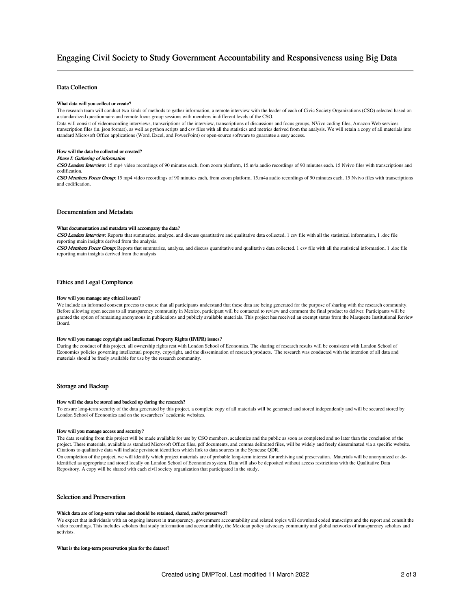# Engaging Civil Society to Study Government Accountability and Responsiveness using Big Data

## Data Collection

#### What data will you collect or create?

The research team will conduct two kinds of methods to gather information, a remote interview with the leader of each of Civic Society Organizations (CSO) selected based on a standardized questionnaire and remote focus group sessions with members in different levels of the CSO.

Data will consist of videorecording interviews, transcriptions of the interview, transcriptions of discussions and focus groups, NVivo coding files, Amazon Web services transcription files (in. json format), as well as python scripts and csv files with all the statistics and metrics derived from the analysis. We will retain a copy of all materials into standard Microsoft Office applications (Word, Excel, and PowerPoint) or open-source software to guarantee a easy access.

#### How will the data be collected or created?

#### Phase I: Gathering of information

CSO Leaders Interview: 15 mp4 video recordings of 90 minutes each, from zoom platform, 15.m4a audio recordings of 90 minutes each. 15 Nvivo files with transcriptions and codification.

CSO Members Focus Group: 15 mp4 video recordings of 90 minutes each, from zoom platform, 15.m4a audio recordings of 90 minutes each. 15 Nvivo files with transcriptions and codification.

#### Documentation and Metadata

#### What documentation and metadata will accompany the data?

CSO Leaders Interview: Reports that summarize, analyze, and discuss quantitative and qualitative data collected. 1 csv file with all the statistical information, 1 .doc file reporting main insights derived from the analysis.

CSO Members Focus Group: Reports that summarize, analyze, and discuss quantitative and qualitative data collected. 1 csv file with all the statistical information, 1 .doc file reporting main insights derived from the analysis

## Ethics and Legal Compliance

#### How will you manage any ethical issues?

We include an informed consent process to ensure that all participants understand that these data are being generated for the purpose of sharing with the research community. Before allowing open access to all transparency community in Mexico, participant will be contacted to review and comment the final product to deliver. Participants will be granted the option of remaining anonymous in publications and publicly available materials. This project has received an exempt status from the Marquette Institutional Review Board.

#### How will you manage copyright and Intellectual Property Rights (IP/IPR) issues?

During the conduct of this project, all ownership rights rest with London School of Economics. The sharing of research results will be consistent with London School of Economics policies governing intellectual property, copyright, and the dissemination of research products. The research was conducted with the intention of all data and materials should be freely available for use by the research community.

#### Storage and Backup

#### How will the data be stored and backed up during the research?

To ensure long-term security of the data generated by this project, a complete copy of all materials will be generated and stored independently and will be secured stored by London School of Economics and on the researchers' academic websites.

#### How will you manage access and security?

The data resulting from this project will be made available for use by CSO members, academics and the public as soon as completed and no later than the conclusion of the project. These materials, available as standard Microsoft Office files, pdf documents, and comma delimited files, will be widely and freely disseminated via a specific website. Citations to qualitative data will include persistent identifiers which link to data sources in the Syracuse QDR.

On completion of the project, we will identify which project materials are of probable long-term interest for archiving and preservation. Materials will be anonymized or deidentified as appropriate and stored locally on London School of Economics system. Data will also be deposited without access restrictions with the Qualitative Data Repository. A copy will be shared with each civil society organization that participated in the study.

## Selection and Preservation

## Which data are of long-term value and should be retained, shared, and/or preserved?

We expect that individuals with an ongoing interest in transparency, government accountability and related topics will download coded transcripts and the report and consult the video recordings. This includes scholars that study information and accountability, the Mexican policy advocacy community and global networks of transparency scholars and activists.

#### What is the long-term preservation plan for the dataset?